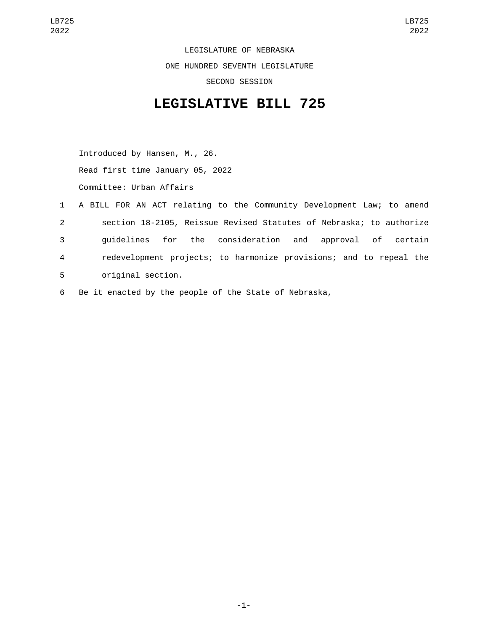LEGISLATURE OF NEBRASKA ONE HUNDRED SEVENTH LEGISLATURE SECOND SESSION

## **LEGISLATIVE BILL 725**

Introduced by Hansen, M., 26. Read first time January 05, 2022 Committee: Urban Affairs

- 1 A BILL FOR AN ACT relating to the Community Development Law; to amend 2 section 18-2105, Reissue Revised Statutes of Nebraska; to authorize 3 guidelines for the consideration and approval of certain 4 redevelopment projects; to harmonize provisions; and to repeal the 5 original section.
- 6 Be it enacted by the people of the State of Nebraska,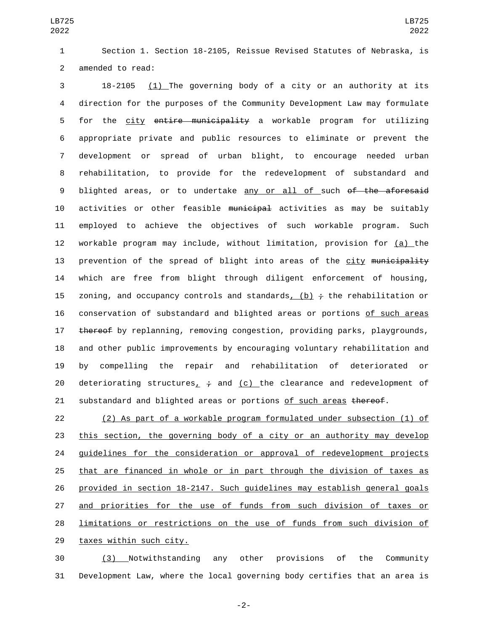Section 1. Section 18-2105, Reissue Revised Statutes of Nebraska, is 2 amended to read:

 18-2105 (1) The governing body of a city or an authority at its direction for the purposes of the Community Development Law may formulate for the city entire municipality a workable program for utilizing appropriate private and public resources to eliminate or prevent the development or spread of urban blight, to encourage needed urban rehabilitation, to provide for the redevelopment of substandard and 9 blighted areas, or to undertake any or all of such of the aforesaid 10 activities or other feasible municipal activities as may be suitably employed to achieve the objectives of such workable program. Such workable program may include, without limitation, provision for (a) the 13 prevention of the spread of blight into areas of the city municipality which are free from blight through diligent enforcement of housing, 15 zoning, and occupancy controls and standards, (b)  $\div$  the rehabilitation or conservation of substandard and blighted areas or portions of such areas 17 thereof by replanning, removing congestion, providing parks, playgrounds, and other public improvements by encouraging voluntary rehabilitation and by compelling the repair and rehabilitation of deteriorated or 20 deteriorating structures<sub>1</sub>  $\div$  and (c) the clearance and redevelopment of 21 substandard and blighted areas or portions of such areas thereof.

 (2) As part of a workable program formulated under subsection (1) of this section, the governing body of a city or an authority may develop guidelines for the consideration or approval of redevelopment projects that are financed in whole or in part through the division of taxes as provided in section 18-2147. Such guidelines may establish general goals and priorities for the use of funds from such division of taxes or limitations or restrictions on the use of funds from such division of 29 taxes within such city.

 (3) Notwithstanding any other provisions of the Community Development Law, where the local governing body certifies that an area is

-2-